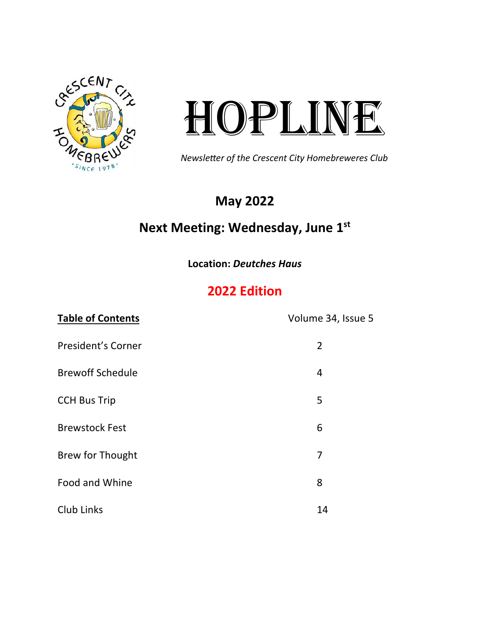

# HOPLINE

Newsleter of the Crescent City Homebreweres Club

## **May 2022**  $\overline{\phantom{a}}$

# **Next Meeting: Wednesday, June 1st**

**Location:** *Deutches Haus* 2020 Editon

# **2022 Edition**

| <b>Table of Contents</b>  | Volume 34, Issue 5 |
|---------------------------|--------------------|
| <b>President's Corner</b> | $\overline{2}$     |
| <b>Brewoff Schedule</b>   | 4                  |
| <b>CCH Bus Trip</b>       | 5                  |
| <b>Brewstock Fest</b>     | 6                  |
| <b>Brew for Thought</b>   | $\overline{7}$     |
| Food and Whine            | 8                  |
| Club Links                | 14                 |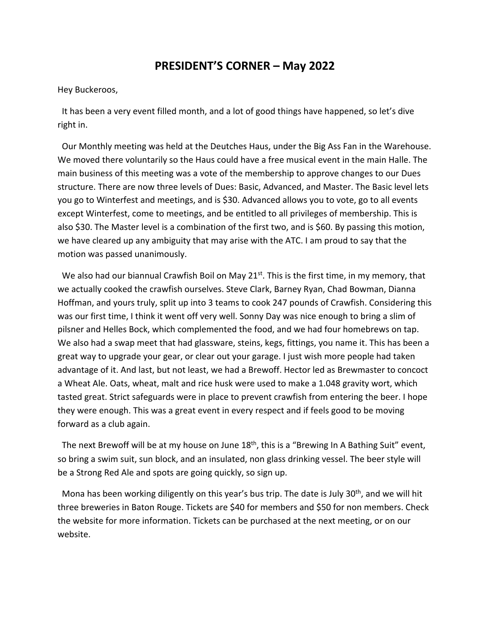## **PRESIDENT'S CORNER – May 2022**

Hey Buckeroos,

 It has been a very event filled month, and a lot of good things have happened, so let's dive right in.

 Our Monthly meeting was held at the Deutches Haus, under the Big Ass Fan in the Warehouse. We moved there voluntarily so the Haus could have a free musical event in the main Halle. The main business of this meeting was a vote of the membership to approve changes to our Dues structure. There are now three levels of Dues: Basic, Advanced, and Master. The Basic level lets you go to Winterfest and meetings, and is \$30. Advanced allows you to vote, go to all events except Winterfest, come to meetings, and be entitled to all privileges of membership. This is also \$30. The Master level is a combination of the first two, and is \$60. By passing this motion, we have cleared up any ambiguity that may arise with the ATC. I am proud to say that the motion was passed unanimously.

We also had our biannual Crawfish Boil on May  $21^{st}$ . This is the first time, in my memory, that we actually cooked the crawfish ourselves. Steve Clark, Barney Ryan, Chad Bowman, Dianna Hoffman, and yours truly, split up into 3 teams to cook 247 pounds of Crawfish. Considering this was our first time, I think it went off very well. Sonny Day was nice enough to bring a slim of pilsner and Helles Bock, which complemented the food, and we had four homebrews on tap. We also had a swap meet that had glassware, steins, kegs, fittings, you name it. This has been a great way to upgrade your gear, or clear out your garage. I just wish more people had taken advantage of it. And last, but not least, we had a Brewoff. Hector led as Brewmaster to concoct a Wheat Ale. Oats, wheat, malt and rice husk were used to make a 1.048 gravity wort, which tasted great. Strict safeguards were in place to prevent crawfish from entering the beer. I hope they were enough. This was a great event in every respect and if feels good to be moving forward as a club again.

The next Brewoff will be at my house on June 18<sup>th</sup>, this is a "Brewing In A Bathing Suit" event, so bring a swim suit, sun block, and an insulated, non glass drinking vessel. The beer style will be a Strong Red Ale and spots are going quickly, so sign up.

Mona has been working diligently on this year's bus trip. The date is July  $30<sup>th</sup>$ , and we will hit three breweries in Baton Rouge. Tickets are \$40 for members and \$50 for non members. Check the website for more information. Tickets can be purchased at the next meeting, or on our website.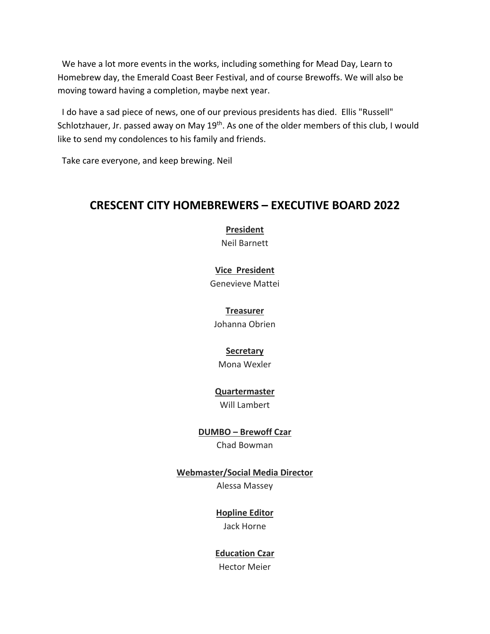We have a lot more events in the works, including something for Mead Day, Learn to Homebrew day, the Emerald Coast Beer Festival, and of course Brewoffs. We will also be moving toward having a completion, maybe next year.

 I do have a sad piece of news, one of our previous presidents has died. Ellis "Russell" Schlotzhauer, Jr. passed away on May 19<sup>th</sup>. As one of the older members of this club, I would like to send my condolences to his family and friends.

Take care everyone, and keep brewing. Neil

## **CRESCENT CITY HOMEBREWERS – EXECUTIVE BOARD 2022**

**President** Neil Barnett

#### **Vice President**

Genevieve Mattei

### **Treasurer**

Johanna Obrien

#### **Secretary**

Mona Wexler

## **Quartermaster**

Will Lambert

**DUMBO – Brewoff Czar** Chad Bowman

## **Webmaster/Social Media Director**

Alessa Massey

## **Hopline Editor**

Jack Horne

## **Education Czar**

Hector Meier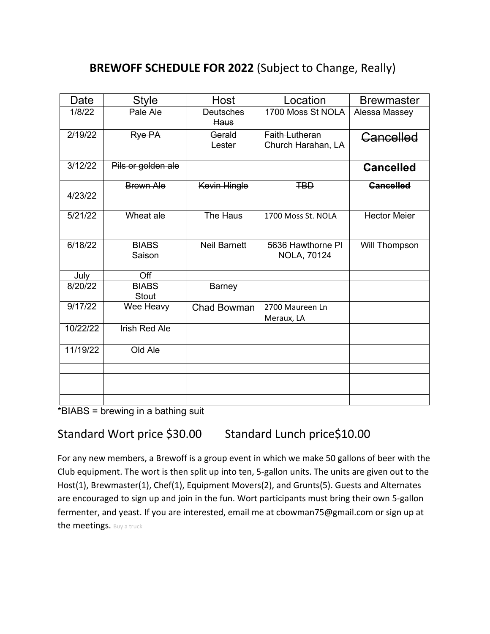# **BREWOFF SCHEDULE FOR 2022** (Subject to Change, Really)

| Date     | <b>Style</b>                 | Host                            | Location                                    | <b>Brewmaster</b>   |
|----------|------------------------------|---------------------------------|---------------------------------------------|---------------------|
| 1/8/22   | Pale Ale                     | <b>Deutsches</b><br><b>Haus</b> | 1700 Moss St NOLA                           | Alessa Massey       |
| 2/19/22  | Rye PA                       | Gerald<br>Lester                | <b>Faith Lutheran</b><br>Church Harahan, LA | Cancelled           |
| 3/12/22  | Pils or golden ale           |                                 |                                             | <b>Cancelled</b>    |
| 4/23/22  | Brown Ale                    | Kevin Hingle                    | <b>TBD</b>                                  | <b>Cancelled</b>    |
| 5/21/22  | Wheat ale                    | The Haus                        | 1700 Moss St. NOLA                          | <b>Hector Meier</b> |
| 6/18/22  | <b>BIABS</b><br>Saison       | <b>Neil Barnett</b>             | 5636 Hawthorne PI<br><b>NOLA, 70124</b>     | Will Thompson       |
| July     | Off                          |                                 |                                             |                     |
| 8/20/22  | <b>BIABS</b><br><b>Stout</b> | <b>Barney</b>                   |                                             |                     |
| 9/17/22  | Wee Heavy                    | <b>Chad Bowman</b>              | 2700 Maureen Ln<br>Meraux, LA               |                     |
| 10/22/22 | <b>Irish Red Ale</b>         |                                 |                                             |                     |
| 11/19/22 | Old Ale                      |                                 |                                             |                     |
|          |                              |                                 |                                             |                     |
|          |                              |                                 |                                             |                     |
|          |                              |                                 |                                             |                     |
|          |                              |                                 |                                             |                     |

\*BIABS = brewing in a bathing suit

## Standard Wort price \$30.00 Standard Lunch price\$10.00

For any new members, a Brewoff is a group event in which we make 50 gallons of beer with the Club equipment. The wort is then split up into ten, 5-gallon units. The units are given out to the Host(1), Brewmaster(1), Chef(1), Equipment Movers(2), and Grunts(5). Guests and Alternates are encouraged to sign up and join in the fun. Wort participants must bring their own 5-gallon fermenter, and yeast. If you are interested, email me at cbowman75@gmail.com or sign up at the meetings. Buy a truck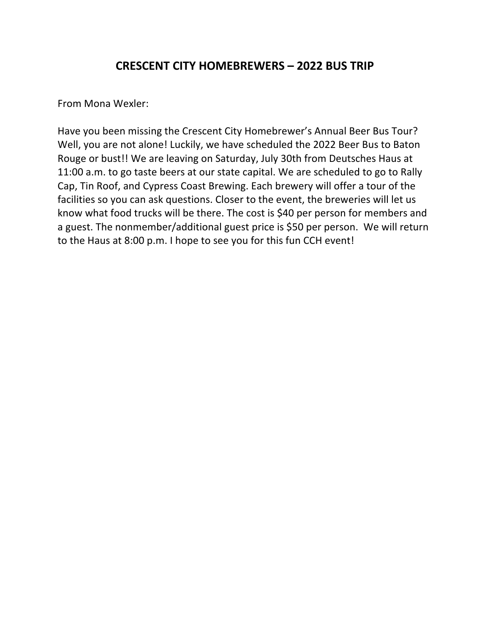## **CRESCENT CITY HOMEBREWERS – 2022 BUS TRIP**

From Mona Wexler:

Have you been missing the Crescent City Homebrewer's Annual Beer Bus Tour? Well, you are not alone! Luckily, we have scheduled the 2022 Beer Bus to Baton Rouge or bust!! We are leaving on Saturday, July 30th from Deutsches Haus at 11:00 a.m. to go taste beers at our state capital. We are scheduled to go to Rally Cap, Tin Roof, and Cypress Coast Brewing. Each brewery will offer a tour of the facilities so you can ask questions. Closer to the event, the breweries will let us know what food trucks will be there. The cost is \$40 per person for members and a guest. The nonmember/additional guest price is \$50 per person. We will return to the Haus at 8:00 p.m. I hope to see you for this fun CCH event!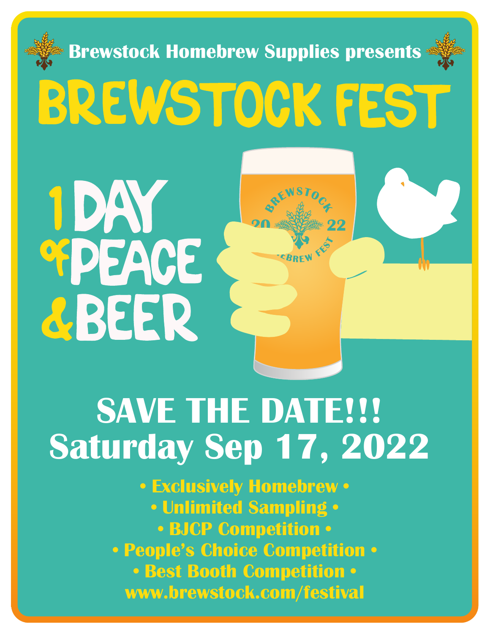

# **Saturday Sep 17, 2022**

**• Exclusively Homebrew • • Unlimited Sampling • • BJCP Competition • • People's Choice Competition • • Best Booth Competition • www.brewstock.com/festival**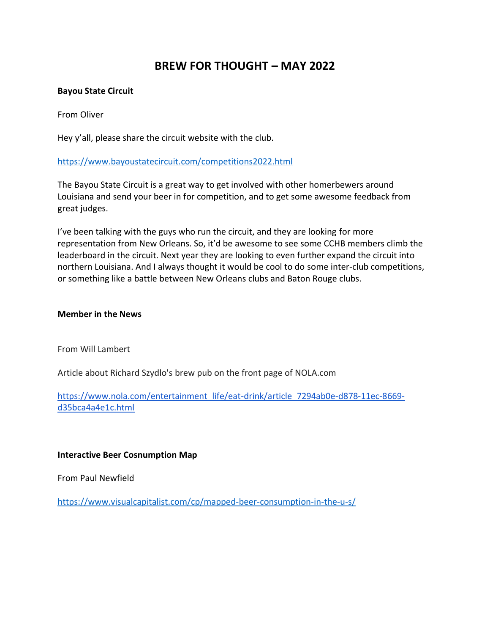## **BREW FOR THOUGHT – MAY 2022**

#### **Bayou State Circuit**

From Oliver

Hey y'all, please share the circuit website with the club.

#### <https://www.bayoustatecircuit.com/competitions2022.html>

The Bayou State Circuit is a great way to get involved with other homerbewers around Louisiana and send your beer in for competition, and to get some awesome feedback from great judges.

I've been talking with the guys who run the circuit, and they are looking for more representation from New Orleans. So, it'd be awesome to see some CCHB members climb the leaderboard in the circuit. Next year they are looking to even further expand the circuit into northern Louisiana. And I always thought it would be cool to do some inter-club competitions, or something like a battle between New Orleans clubs and Baton Rouge clubs.

#### **Member in the News**

From Will Lambert

Article about Richard Szydlo's brew pub on the front page of NOLA.com

[https://www.nola.com/entertainment\\_life/eat-drink/article\\_7294ab0e-d878-11ec-8669](https://www.nola.com/entertainment_life/eat-drink/article_7294ab0e-d878-11ec-8669-d35bca4a4e1c.html) [d35bca4a4e1c.html](https://www.nola.com/entertainment_life/eat-drink/article_7294ab0e-d878-11ec-8669-d35bca4a4e1c.html)

#### **Interactive Beer Cosnumption Map**

From Paul Newfield

<https://www.visualcapitalist.com/cp/mapped-beer-consumption-in-the-u-s/>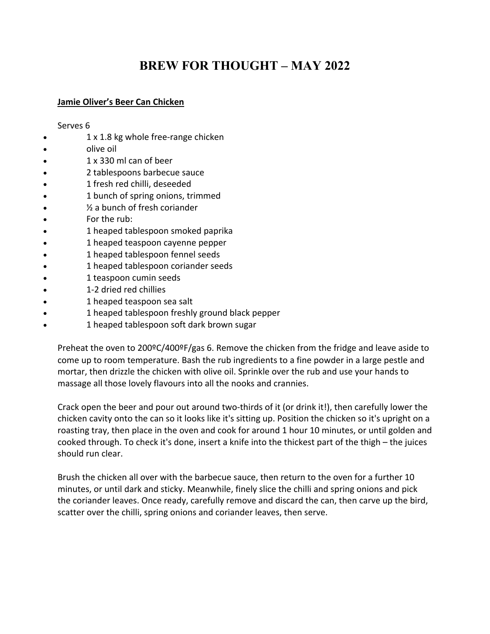# **BREW FOR THOUGHT – MAY 2022**

#### **Jamie Oliver's Beer Can Chicken**

#### Serves 6

- 1 x 1.8 kg whole free-range chicken
- olive oil
- 1 x 330 ml can of beer
- 2 tablespoons barbecue sauce
- 1 fresh red chilli, deseeded
- 1 bunch of spring onions, trimmed
- $\frac{1}{2}$  a bunch of fresh coriander
- For the rub:
- 1 heaped tablespoon smoked paprika
- 1 heaped teaspoon cayenne pepper
- 1 heaped tablespoon fennel seeds
- 1 heaped tablespoon coriander seeds
- 1 teaspoon cumin seeds
- 1-2 dried red chillies
- 1 heaped teaspoon sea salt
- 1 heaped tablespoon freshly ground black pepper
- 1 heaped tablespoon soft dark brown sugar

Preheat the oven to 200ºC/400ºF/gas 6. Remove the chicken from the fridge and leave aside to come up to room temperature. Bash the rub ingredients to a fine powder in a large pestle and mortar, then drizzle the chicken with olive oil. Sprinkle over the rub and use your hands to massage all those lovely flavours into all the nooks and crannies.

Crack open the beer and pour out around two-thirds of it (or drink it!), then carefully lower the chicken cavity onto the can so it looks like it's sitting up. Position the chicken so it's upright on a roasting tray, then place in the oven and cook for around 1 hour 10 minutes, or until golden and cooked through. To check it's done, insert a knife into the thickest part of the thigh – the juices should run clear.

Brush the chicken all over with the barbecue sauce, then return to the oven for a further 10 minutes, or until dark and sticky. Meanwhile, finely slice the chilli and spring onions and pick the coriander leaves. Once ready, carefully remove and discard the can, then carve up the bird, scatter over the chilli, spring onions and coriander leaves, then serve.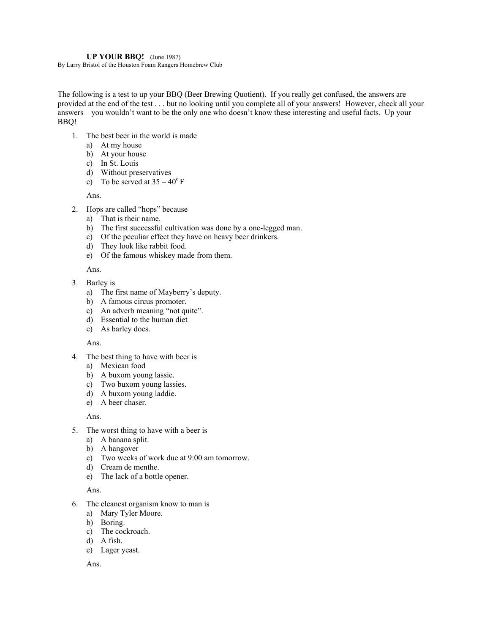#### **UP YOUR BBQ!** (June 1987)

By Larry Bristol of the Houston Foam Rangers Homebrew Club

The following is a test to up your BBQ (Beer Brewing Quotient). If you really get confused, the answers are provided at the end of the test . . . but no looking until you complete all of your answers! However, check all your answers – you wouldn't want to be the only one who doesn't know these interesting and useful facts. Up your BBQ!

- 1. The best beer in the world is made
	- a) At my house
	- b) At your house
	- c) In St. Louis
	- d) Without preservatives
	- e) To be served at  $35 40^{\circ}$  F

Ans.

- 2. Hops are called "hops" because
	- a) That is their name.
	- b) The first successful cultivation was done by a one-legged man.
	- c) Of the peculiar effect they have on heavy beer drinkers.
	- d) They look like rabbit food.
	- e) Of the famous whiskey made from them.

Ans.

- 3. Barley is
	- a) The first name of Mayberry's deputy.
	- b) A famous circus promoter.
	- c) An adverb meaning "not quite".
	- d) Essential to the human diet
	- e) As barley does.

#### Ans.

- 4. The best thing to have with beer is
	- a) Mexican food
	- b) A buxom young lassie.
	- c) Two buxom young lassies.
	- d) A buxom young laddie.
	- e) A beer chaser.

Ans.

- 5. The worst thing to have with a beer is
	- a) A banana split.
	- b) A hangover
	- c) Two weeks of work due at 9:00 am tomorrow.
	- d) Cream de menthe.
	- e) The lack of a bottle opener.

Ans.

- 6. The cleanest organism know to man is
	- a) Mary Tyler Moore.
	- b) Boring.
	- c) The cockroach.
	- $\overrightarrow{d}$  A fish.
	- e) Lager yeast.

Ans.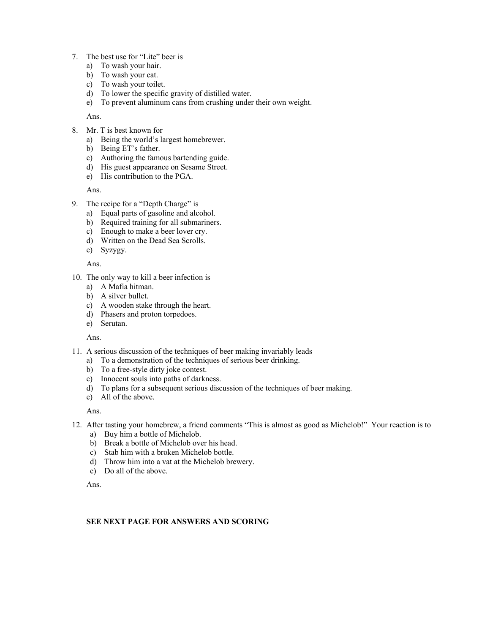- 7. The best use for "Lite" beer is
	- a) To wash your hair.
	- b) To wash your cat.
	- c) To wash your toilet.
	- d) To lower the specific gravity of distilled water.
	- e) To prevent aluminum cans from crushing under their own weight.

Ans.

- 8. Mr. T is best known for
	- a) Being the world's largest homebrewer.
	- b) Being ET's father.
	- c) Authoring the famous bartending guide.
	- d) His guest appearance on Sesame Street.
	- e) His contribution to the PGA.

Ans.

- 9. The recipe for a "Depth Charge" is
	- a) Equal parts of gasoline and alcohol.
	- b) Required training for all submariners.
	- c) Enough to make a beer lover cry.
	- d) Written on the Dead Sea Scrolls.
	- e) Syzygy.

Ans.

- 10. The only way to kill a beer infection is
	- a) A Mafia hitman.
	- b) A silver bullet.
	- c) A wooden stake through the heart.
	- d) Phasers and proton torpedoes.
	- e) Serutan.

Ans.

- 11. A serious discussion of the techniques of beer making invariably leads
	- a) To a demonstration of the techniques of serious beer drinking.
	- b) To a free-style dirty joke contest.
	- c) Innocent souls into paths of darkness.
	- d) To plans for a subsequent serious discussion of the techniques of beer making.
	- e) All of the above.

Ans.

- 12. After tasting your homebrew, a friend comments "This is almost as good as Michelob!" Your reaction is to
	- a) Buy him a bottle of Michelob.
	- b) Break a bottle of Michelob over his head.
	- c) Stab him with a broken Michelob bottle.
	- d) Throw him into a vat at the Michelob brewery.
	- e) Do all of the above.

Ans.

#### **SEE NEXT PAGE FOR ANSWERS AND SCORING**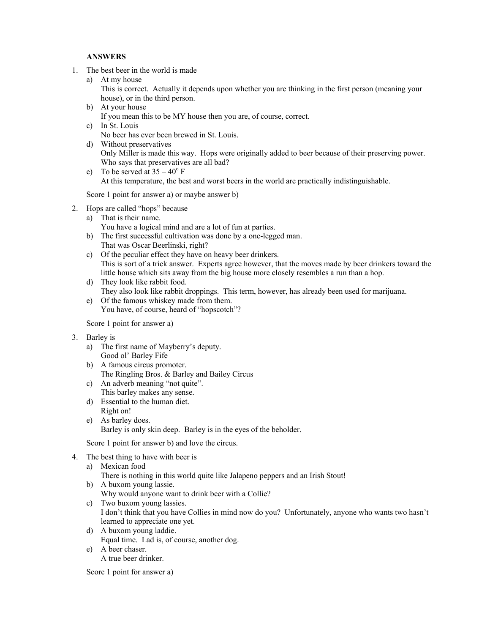#### **ANSWERS**

- 1. The best beer in the world is made
	- a) At my house This is correct. Actually it depends upon whether you are thinking in the first person (meaning your house), or in the third person.
	- b) At your house If you mean this to be MY house then you are, of course, correct. c) In St. Louis
	- No beer has ever been brewed in St. Louis.
	- d) Without preservatives Only Miller is made this way. Hops were originally added to beer because of their preserving power. Who says that preservatives are all bad?
	- e) To be served at  $35 40^{\circ}$  F At this temperature, the best and worst beers in the world are practically indistinguishable.

Score 1 point for answer a) or maybe answer b)

- 2. Hops are called "hops" because
	- a) That is their name.
	- You have a logical mind and are a lot of fun at parties. b) The first successful cultivation was done by a one-legged man.
	- That was Oscar Beerlinski, right?
	- c) Of the peculiar effect they have on heavy beer drinkers. This is sort of a trick answer. Experts agree however, that the moves made by beer drinkers toward the little house which sits away from the big house more closely resembles a run than a hop.
	- d) They look like rabbit food. They also look like rabbit droppings. This term, however, has already been used for marijuana.
	- e) Of the famous whiskey made from them. You have, of course, heard of "hopscotch"?

Score 1 point for answer a)

- 3. Barley is
	- a) The first name of Mayberry's deputy. Good ol' Barley Fife
	- b) A famous circus promoter. The Ringling Bros. & Barley and Bailey Circus
	- c) An adverb meaning "not quite". This barley makes any sense.
	- d) Essential to the human diet. Right on!
	- e) As barley does. Barley is only skin deep. Barley is in the eyes of the beholder.

Score 1 point for answer b) and love the circus.

- 4. The best thing to have with beer is
	- a) Mexican food
		- There is nothing in this world quite like Jalapeno peppers and an Irish Stout!
	- b) A buxom young lassie. Why would anyone want to drink beer with a Collie?
	- c) Two buxom young lassies. I don't think that you have Collies in mind now do you? Unfortunately, anyone who wants two hasn't learned to appreciate one yet.
	- d) A buxom young laddie.
		- Equal time. Lad is, of course, another dog.
	- e) A beer chaser.
		- A true beer drinker.

Score 1 point for answer a)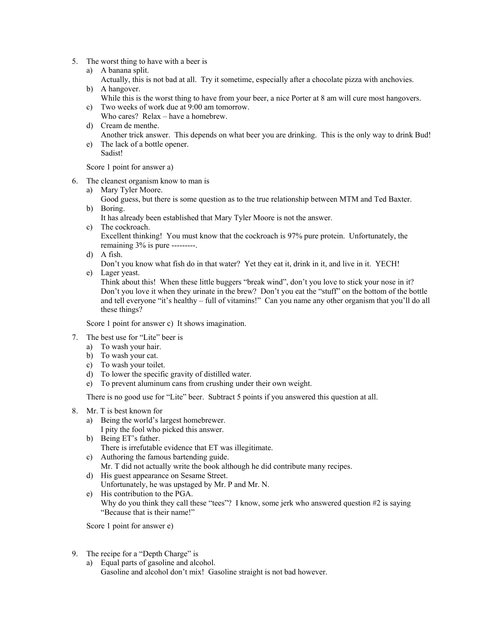- 5. The worst thing to have with a beer is
	- a) A banana split.
	- Actually, this is not bad at all. Try it sometime, especially after a chocolate pizza with anchovies. b) A hangover.
		- While this is the worst thing to have from your beer, a nice Porter at 8 am will cure most hangovers.
	- c) Two weeks of work due at 9:00 am tomorrow. Who cares? Relax – have a homebrew.
	- d) Cream de menthe.
	- Another trick answer. This depends on what beer you are drinking. This is the only way to drink Bud! e) The lack of a bottle opener.
	- Sadist!

Score 1 point for answer a)

- 6. The cleanest organism know to man is
	- a) Mary Tyler Moore.

Good guess, but there is some question as to the true relationship between MTM and Ted Baxter. b) Boring.

It has already been established that Mary Tyler Moore is not the answer.

c) The cockroach.

Excellent thinking! You must know that the cockroach is 97% pure protein. Unfortunately, the remaining 3% is pure ---------.

d) A fish.

Don't you know what fish do in that water? Yet they eat it, drink in it, and live in it. YECH!

e) Lager yeast.

Think about this! When these little buggers "break wind", don't you love to stick your nose in it? Don't you love it when they urinate in the brew? Don't you eat the "stuff" on the bottom of the bottle and tell everyone "it's healthy – full of vitamins!" Can you name any other organism that you'll do all these things?

Score 1 point for answer c) It shows imagination.

- 7. The best use for "Lite" beer is
	- a) To wash your hair.
	- b) To wash your cat.
	- c) To wash your toilet.
	- d) To lower the specific gravity of distilled water.
	- e) To prevent aluminum cans from crushing under their own weight.

There is no good use for "Lite" beer. Subtract 5 points if you answered this question at all.

- 8. Mr. T is best known for
	- a) Being the world's largest homebrewer. I pity the fool who picked this answer.
	- b) Being ET's father. There is irrefutable evidence that ET was illegitimate.
	- c) Authoring the famous bartending guide. Mr. T did not actually write the book although he did contribute many recipes.
	- d) His guest appearance on Sesame Street.
	- Unfortunately, he was upstaged by Mr. P and Mr. N.
	- e) His contribution to the PGA. Why do you think they call these "tees"? I know, some jerk who answered question #2 is saying "Because that is their name!"

Score 1 point for answer e)

- 9. The recipe for a "Depth Charge" is
	- a) Equal parts of gasoline and alcohol. Gasoline and alcohol don't mix! Gasoline straight is not bad however.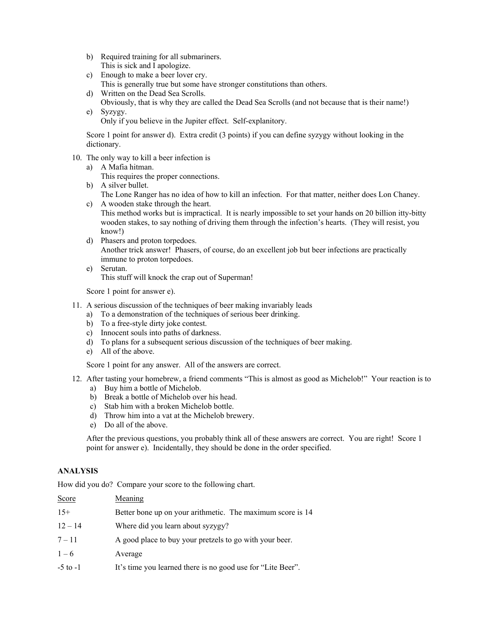- b) Required training for all submariners. This is sick and I apologize.
- c) Enough to make a beer lover cry. This is generally true but some have stronger constitutions than others.
- d) Written on the Dead Sea Scrolls. Obviously, that is why they are called the Dead Sea Scrolls (and not because that is their name!) e) Syzygy.
	- Only if you believe in the Jupiter effect. Self-explanitory.

Score 1 point for answer d). Extra credit (3 points) if you can define syzygy without looking in the dictionary.

- 10. The only way to kill a beer infection is
	- a) A Mafia hitman.
		- This requires the proper connections.
	- b) A silver bullet. The Lone Ranger has no idea of how to kill an infection. For that matter, neither does Lon Chaney.
	- c) A wooden stake through the heart.
		- This method works but is impractical. It is nearly impossible to set your hands on 20 billion itty-bitty wooden stakes, to say nothing of driving them through the infection's hearts. (They will resist, you know!)
	- d) Phasers and proton torpedoes. Another trick answer! Phasers, of course, do an excellent job but beer infections are practically immune to proton torpedoes.
	- e) Serutan. This stuff will knock the crap out of Superman!

Score 1 point for answer e).

- 11. A serious discussion of the techniques of beer making invariably leads
	- a) To a demonstration of the techniques of serious beer drinking.
	- b) To a free-style dirty joke contest.
	- c) Innocent souls into paths of darkness.
	- d) To plans for a subsequent serious discussion of the techniques of beer making.
	- e) All of the above.

Score 1 point for any answer. All of the answers are correct.

- 12. After tasting your homebrew, a friend comments "This is almost as good as Michelob!" Your reaction is to
	- a) Buy him a bottle of Michelob.
	- b) Break a bottle of Michelob over his head.
	- c) Stab him with a broken Michelob bottle.
	- d) Throw him into a vat at the Michelob brewery.
	- e) Do all of the above.

After the previous questions, you probably think all of these answers are correct. You are right! Score 1 point for answer e). Incidentally, they should be done in the order specified.

#### **ANALYSIS**

How did you do? Compare your score to the following chart.

| Score        | Meaning                                                     |
|--------------|-------------------------------------------------------------|
| $15+$        | Better bone up on your arithmetic. The maximum score is 14  |
| $12 - 14$    | Where did you learn about syzygy?                           |
| $7 - 11$     | A good place to buy your pretzels to go with your beer.     |
| $1 - 6$      | Average                                                     |
| $-5$ to $-1$ | It's time you learned there is no good use for "Lite Beer". |